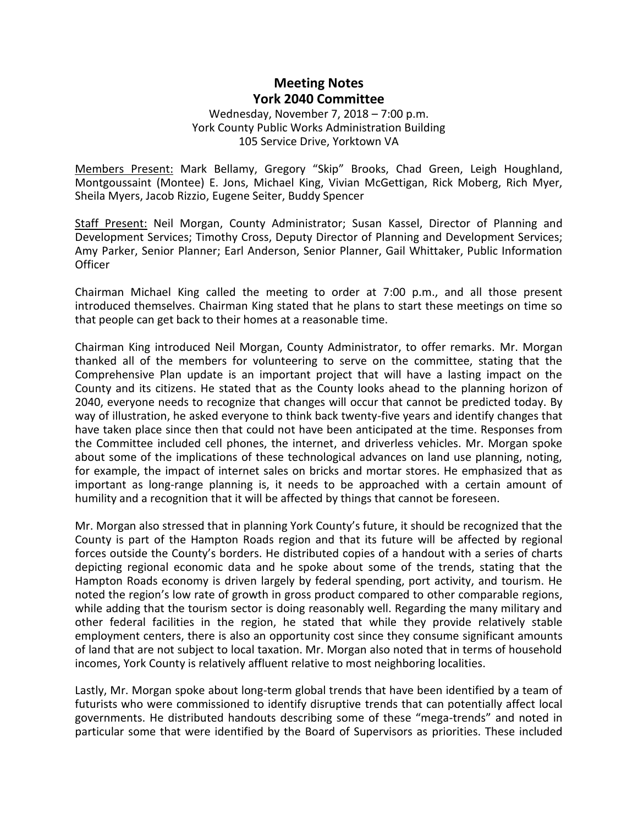# **Meeting Notes York 2040 Committee**

### Wednesday, November 7, 2018 – 7:00 p.m. York County Public Works Administration Building 105 Service Drive, Yorktown VA

Members Present: Mark Bellamy, Gregory "Skip" Brooks, Chad Green, Leigh Houghland, Montgoussaint (Montee) E. Jons, Michael King, Vivian McGettigan, Rick Moberg, Rich Myer, Sheila Myers, Jacob Rizzio, Eugene Seiter, Buddy Spencer

Staff Present: Neil Morgan, County Administrator; Susan Kassel, Director of Planning and Development Services; Timothy Cross, Deputy Director of Planning and Development Services; Amy Parker, Senior Planner; Earl Anderson, Senior Planner, Gail Whittaker, Public Information **Officer** 

Chairman Michael King called the meeting to order at 7:00 p.m., and all those present introduced themselves. Chairman King stated that he plans to start these meetings on time so that people can get back to their homes at a reasonable time.

Chairman King introduced Neil Morgan, County Administrator, to offer remarks. Mr. Morgan thanked all of the members for volunteering to serve on the committee, stating that the Comprehensive Plan update is an important project that will have a lasting impact on the County and its citizens. He stated that as the County looks ahead to the planning horizon of 2040, everyone needs to recognize that changes will occur that cannot be predicted today. By way of illustration, he asked everyone to think back twenty-five years and identify changes that have taken place since then that could not have been anticipated at the time. Responses from the Committee included cell phones, the internet, and driverless vehicles. Mr. Morgan spoke about some of the implications of these technological advances on land use planning, noting, for example, the impact of internet sales on bricks and mortar stores. He emphasized that as important as long-range planning is, it needs to be approached with a certain amount of humility and a recognition that it will be affected by things that cannot be foreseen.

Mr. Morgan also stressed that in planning York County's future, it should be recognized that the County is part of the Hampton Roads region and that its future will be affected by regional forces outside the County's borders. He distributed copies of a handout with a series of charts depicting regional economic data and he spoke about some of the trends, stating that the Hampton Roads economy is driven largely by federal spending, port activity, and tourism. He noted the region's low rate of growth in gross product compared to other comparable regions, while adding that the tourism sector is doing reasonably well. Regarding the many military and other federal facilities in the region, he stated that while they provide relatively stable employment centers, there is also an opportunity cost since they consume significant amounts of land that are not subject to local taxation. Mr. Morgan also noted that in terms of household incomes, York County is relatively affluent relative to most neighboring localities.

Lastly, Mr. Morgan spoke about long-term global trends that have been identified by a team of futurists who were commissioned to identify disruptive trends that can potentially affect local governments. He distributed handouts describing some of these "mega-trends" and noted in particular some that were identified by the Board of Supervisors as priorities. These included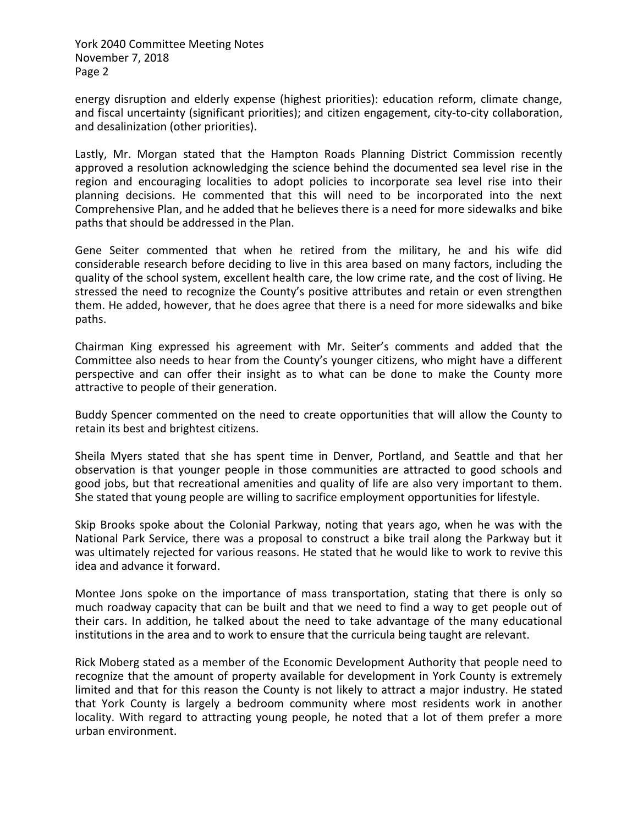York 2040 Committee Meeting Notes November 7, 2018 Page 2

energy disruption and elderly expense (highest priorities): education reform, climate change, and fiscal uncertainty (significant priorities); and citizen engagement, city-to-city collaboration, and desalinization (other priorities).

Lastly, Mr. Morgan stated that the Hampton Roads Planning District Commission recently approved a resolution acknowledging the science behind the documented sea level rise in the region and encouraging localities to adopt policies to incorporate sea level rise into their planning decisions. He commented that this will need to be incorporated into the next Comprehensive Plan, and he added that he believes there is a need for more sidewalks and bike paths that should be addressed in the Plan.

Gene Seiter commented that when he retired from the military, he and his wife did considerable research before deciding to live in this area based on many factors, including the quality of the school system, excellent health care, the low crime rate, and the cost of living. He stressed the need to recognize the County's positive attributes and retain or even strengthen them. He added, however, that he does agree that there is a need for more sidewalks and bike paths.

Chairman King expressed his agreement with Mr. Seiter's comments and added that the Committee also needs to hear from the County's younger citizens, who might have a different perspective and can offer their insight as to what can be done to make the County more attractive to people of their generation.

Buddy Spencer commented on the need to create opportunities that will allow the County to retain its best and brightest citizens.

Sheila Myers stated that she has spent time in Denver, Portland, and Seattle and that her observation is that younger people in those communities are attracted to good schools and good jobs, but that recreational amenities and quality of life are also very important to them. She stated that young people are willing to sacrifice employment opportunities for lifestyle.

Skip Brooks spoke about the Colonial Parkway, noting that years ago, when he was with the National Park Service, there was a proposal to construct a bike trail along the Parkway but it was ultimately rejected for various reasons. He stated that he would like to work to revive this idea and advance it forward.

Montee Jons spoke on the importance of mass transportation, stating that there is only so much roadway capacity that can be built and that we need to find a way to get people out of their cars. In addition, he talked about the need to take advantage of the many educational institutions in the area and to work to ensure that the curricula being taught are relevant.

Rick Moberg stated as a member of the Economic Development Authority that people need to recognize that the amount of property available for development in York County is extremely limited and that for this reason the County is not likely to attract a major industry. He stated that York County is largely a bedroom community where most residents work in another locality. With regard to attracting young people, he noted that a lot of them prefer a more urban environment.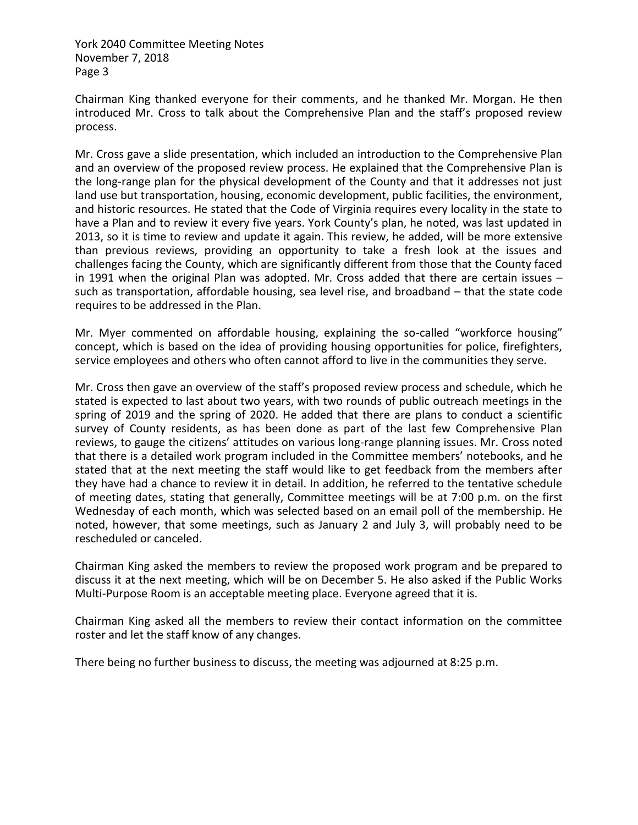York 2040 Committee Meeting Notes November 7, 2018 Page 3

Chairman King thanked everyone for their comments, and he thanked Mr. Morgan. He then introduced Mr. Cross to talk about the Comprehensive Plan and the staff's proposed review process.

Mr. Cross gave a slide presentation, which included an introduction to the Comprehensive Plan and an overview of the proposed review process. He explained that the Comprehensive Plan is the long-range plan for the physical development of the County and that it addresses not just land use but transportation, housing, economic development, public facilities, the environment, and historic resources. He stated that the Code of Virginia requires every locality in the state to have a Plan and to review it every five years. York County's plan, he noted, was last updated in 2013, so it is time to review and update it again. This review, he added, will be more extensive than previous reviews, providing an opportunity to take a fresh look at the issues and challenges facing the County, which are significantly different from those that the County faced in 1991 when the original Plan was adopted. Mr. Cross added that there are certain issues – such as transportation, affordable housing, sea level rise, and broadband – that the state code requires to be addressed in the Plan.

Mr. Myer commented on affordable housing, explaining the so-called "workforce housing" concept, which is based on the idea of providing housing opportunities for police, firefighters, service employees and others who often cannot afford to live in the communities they serve.

Mr. Cross then gave an overview of the staff's proposed review process and schedule, which he stated is expected to last about two years, with two rounds of public outreach meetings in the spring of 2019 and the spring of 2020. He added that there are plans to conduct a scientific survey of County residents, as has been done as part of the last few Comprehensive Plan reviews, to gauge the citizens' attitudes on various long-range planning issues. Mr. Cross noted that there is a detailed work program included in the Committee members' notebooks, and he stated that at the next meeting the staff would like to get feedback from the members after they have had a chance to review it in detail. In addition, he referred to the tentative schedule of meeting dates, stating that generally, Committee meetings will be at 7:00 p.m. on the first Wednesday of each month, which was selected based on an email poll of the membership. He noted, however, that some meetings, such as January 2 and July 3, will probably need to be rescheduled or canceled.

Chairman King asked the members to review the proposed work program and be prepared to discuss it at the next meeting, which will be on December 5. He also asked if the Public Works Multi-Purpose Room is an acceptable meeting place. Everyone agreed that it is.

Chairman King asked all the members to review their contact information on the committee roster and let the staff know of any changes.

There being no further business to discuss, the meeting was adjourned at 8:25 p.m.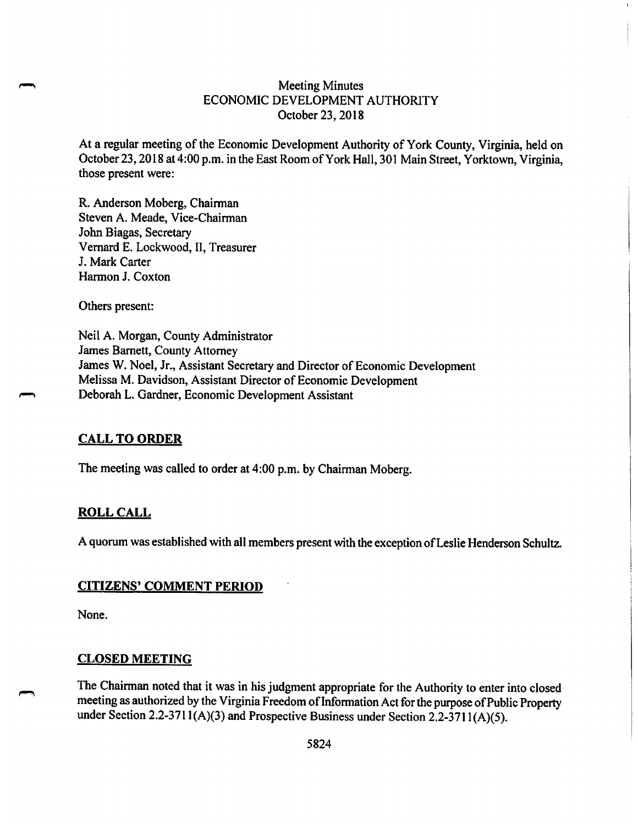## **Meeting Minutes** ECONOMIC DEVELOPMENT AUTHORITY October 23, 2018

At a regular meeting of the Economic Development Authority of York County, Virginia, held on October 23, 2018 at 4:00 p.m. in the East Room of York Hall, 301 Main Street, Yorktown, Virginia, those present were:

R. Anderson Moberg, Chairman Steven A. Meade, Vice-Chairman John Biagas, Secretary Vernard E. Lockwood, II, Treasurer J. Mark Carter Harmon J. Coxton

Others present:

Neil A. Morgan, County Administrator James Barnett, County Attorney James W. Noel, Jr., Assistant Secretary and Director of Economic Development Melissa M. Davidson, Assistant Director of Economic Development Deborah L. Gardner, Economic Development Assistant

### **CALL TO ORDER**

The meeting was called to order at 4:00 p.m. by Chairman Moberg.

### **ROLL CALL**

A quorum was established with all members present with the exception of Leslie Henderson Schultz.

### **CITIZENS' COMMENT PERIOD**

None.

#### **CLOSED MEETING**

The Chairman noted that it was in his judgment appropriate for the Authority to enter into closed meeting as authorized by the Virginia Freedom of Information Act for the purpose of Public Property under Section 2.2-3711(A)(3) and Prospective Business under Section 2.2-3711(A)(5).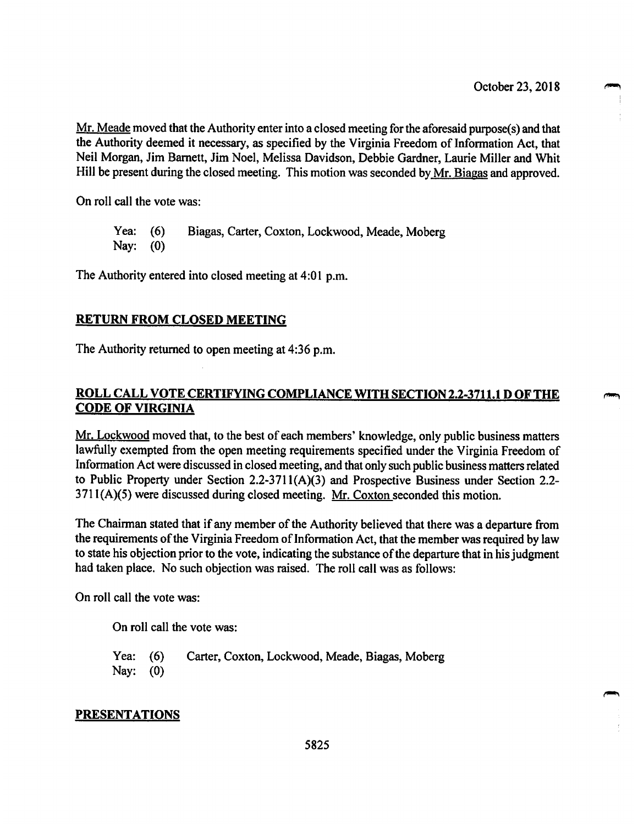Mr. Meade moved that the Authority enter into a closed meeting for the aforesaid purpose(s) and that the Authority deemed it necessary, as specified by the Virginia Freedom of Information Act, that Neil Morgan, Jim Barnett, Jim Noel, Melissa Davidson, Debbie Gardner, Laurie Miller and Whit Hill be present during the closed meeting. This motion was seconded by Mr. Biagas and approved.

On roll call the vote was:

Yea: Biagas, Carter, Coxton, Lockwood, Meade, Moberg  $(6)$ Nay:  $(0)$ 

The Authority entered into closed meeting at 4:01 p.m.

### **RETURN FROM CLOSED MEETING**

The Authority returned to open meeting at 4:36 p.m.

## **ROLL CALL VOTE CERTIFYING COMPLIANCE WITH SECTION 2.2-3711.1 D OF THE CODE OF VIRGINIA**

Mr. Lockwood moved that, to the best of each members' knowledge, only public business matters lawfully exempted from the open meeting requirements specified under the Virginia Freedom of Information Act were discussed in closed meeting, and that only such public business matters related to Public Property under Section  $2.2-3711(A)(3)$  and Prospective Business under Section 2.2- $3711(A)(5)$  were discussed during closed meeting. Mr. Coxton seconded this motion.

The Chairman stated that if any member of the Authority believed that there was a departure from the requirements of the Virginia Freedom of Information Act, that the member was required by law to state his objection prior to the vote, indicating the substance of the departure that in his judgment had taken place. No such objection was raised. The roll call was as follows:

On roll call the vote was:

On roll call the vote was:

Carter, Coxton, Lockwood, Meade, Biagas, Moberg Yea:  $(6)$ Nay:  $(0)$ 

### **PRESENTATIONS**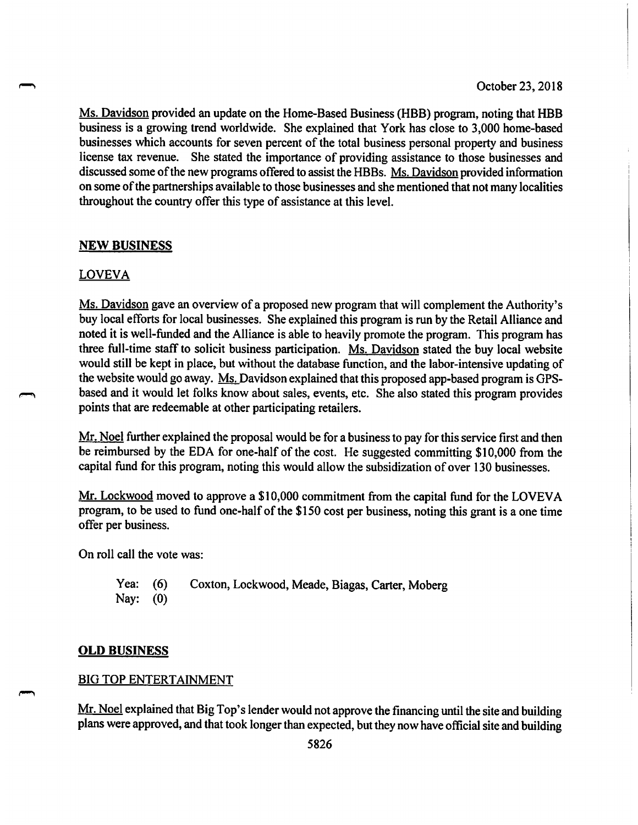Ms. Davidson provided an update on the Home-Based Business (HBB) program, noting that HBB business is a growing trend worldwide. She explained that York has close to 3,000 home-based businesses which accounts for seven percent of the total business personal property and business license tax revenue. She stated the importance of providing assistance to those businesses and discussed some of the new programs offered to assist the HBBs. Ms. Davidson provided information on some of the partnerships available to those businesses and she mentioned that not many localities throughout the country offer this type of assistance at this level.

### **NEW BUSINESS**

#### **LOVEVA**

Ms. Davidson gave an overview of a proposed new program that will complement the Authority's buy local efforts for local businesses. She explained this program is run by the Retail Alliance and noted it is well-funded and the Alliance is able to heavily promote the program. This program has three full-time staff to solicit business participation. Ms. Davidson stated the buy local website would still be kept in place, but without the database function, and the labor-intensive updating of the website would go away. Ms. Davidson explained that this proposed app-based program is GPSbased and it would let folks know about sales, events, etc. She also stated this program provides points that are redeemable at other participating retailers.

Mr. Noel further explained the proposal would be for a business to pay for this service first and then be reimbursed by the EDA for one-half of the cost. He suggested committing \$10,000 from the capital fund for this program, noting this would allow the subsidization of over 130 businesses.

Mr. Lockwood moved to approve a \$10,000 commitment from the capital fund for the LOVEVA program, to be used to fund one-half of the \$150 cost per business, noting this grant is a one time offer per business.

On roll call the vote was:

Yea:  $(6)$ Coxton, Lockwood, Meade, Biagas, Carter, Moberg Nay:  $(0)$ 

#### **OLD BUSINESS**

#### **BIG TOP ENTERTAINMENT**

Mr. Noel explained that Big Top's lender would not approve the financing until the site and building plans were approved, and that took longer than expected, but they now have official site and building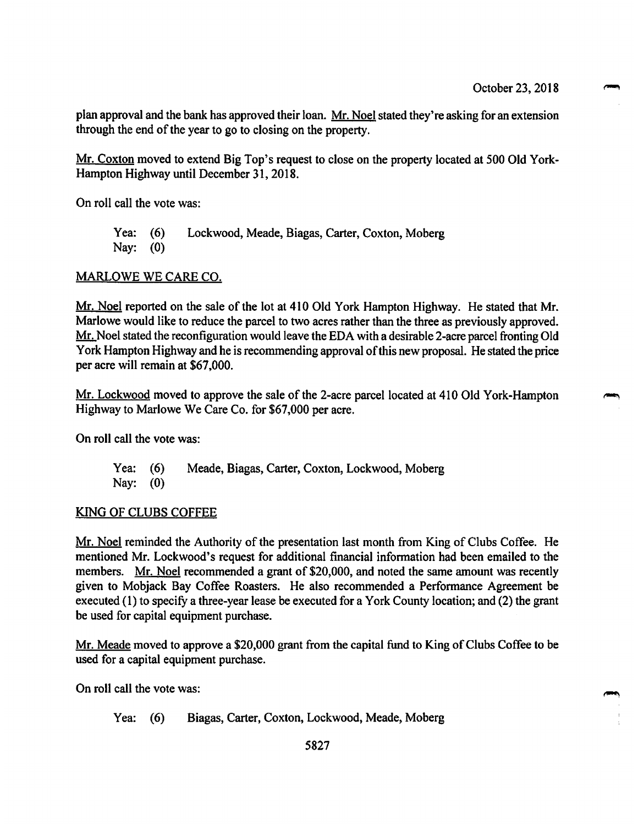plan approval and the bank has approved their loan. Mr. Noel stated they're asking for an extension through the end of the year to go to closing on the property.

Mr. Coxton moved to extend Big Top's request to close on the property located at 500 Old York-Hampton Highway until December 31, 2018.

On roll call the vote was:

Lockwood, Meade, Biagas, Carter, Coxton, Moberg Yea:  $(6)$ Nav:  $(0)$ 

#### MARLOWE WE CARE CO.

Mr. Noel reported on the sale of the lot at 410 Old York Hampton Highway. He stated that Mr. Marlowe would like to reduce the parcel to two acres rather than the three as previously approved. Mr. Noel stated the reconfiguration would leave the EDA with a desirable 2-acre parcel fronting Old York Hampton Highway and he is recommending approval of this new proposal. He stated the price per acre will remain at \$67,000.

Mr. Lockwood moved to approve the sale of the 2-acre parcel located at 410 Old York-Hampton Highway to Marlowe We Care Co. for \$67,000 per acre.

On roll call the vote was:

Yea:  $(6)$ Meade, Biagas, Carter, Coxton, Lockwood, Moberg Nay:  $(0)$ 

#### KING OF CLUBS COFFEE

Mr. Noel reminded the Authority of the presentation last month from King of Clubs Coffee. He mentioned Mr. Lockwood's request for additional financial information had been emailed to the members. Mr. Noel recommended a grant of \$20,000, and noted the same amount was recently given to Mobjack Bay Coffee Roasters. He also recommended a Performance Agreement be executed (1) to specify a three-year lease be executed for a York County location; and (2) the grant be used for capital equipment purchase.

Mr. Meade moved to approve a \$20,000 grant from the capital fund to King of Clubs Coffee to be used for a capital equipment purchase.

On roll call the vote was:

Biagas, Carter, Coxton, Lockwood, Meade, Moberg Yea:  $(6)$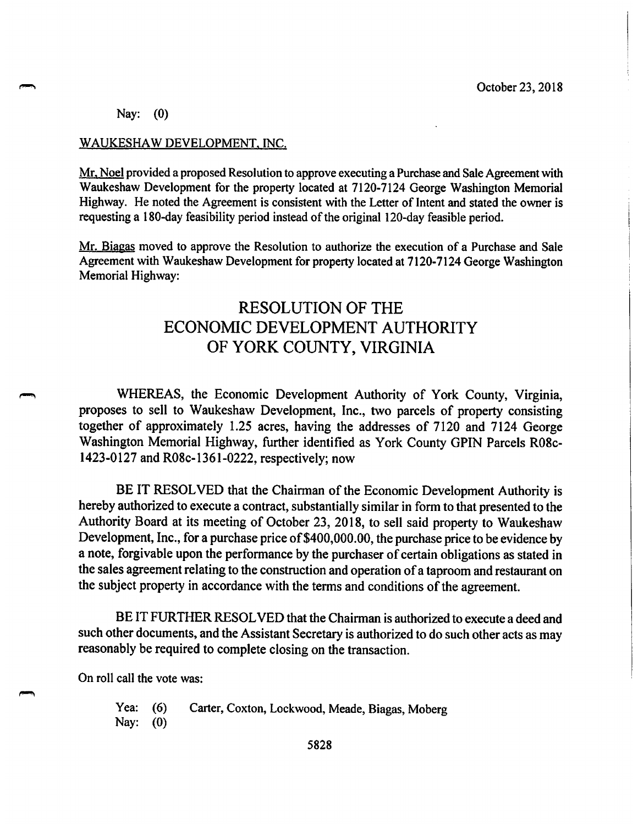Nay:  $(0)$ 

#### WAUKESHAW DEVELOPMENT, INC.

Mr. Noel provided a proposed Resolution to approve executing a Purchase and Sale Agreement with Waukeshaw Development for the property located at 7120-7124 George Washington Memorial Highway. He noted the Agreement is consistent with the Letter of Intent and stated the owner is requesting a 180-day feasibility period instead of the original 120-day feasible period.

Mr. Biagas moved to approve the Resolution to authorize the execution of a Purchase and Sale Agreement with Waukeshaw Development for property located at 7120-7124 George Washington Memorial Highway:

# **RESOLUTION OF THE** ECONOMIC DEVELOPMENT AUTHORITY OF YORK COUNTY, VIRGINIA

WHEREAS, the Economic Development Authority of York County, Virginia, proposes to sell to Waukeshaw Development, Inc., two parcels of property consisting together of approximately 1.25 acres, having the addresses of 7120 and 7124 George Washington Memorial Highway, further identified as York County GPIN Parcels R08c-1423-0127 and R08c-1361-0222, respectively; now

BE IT RESOLVED that the Chairman of the Economic Development Authority is hereby authorized to execute a contract, substantially similar in form to that presented to the Authority Board at its meeting of October 23, 2018, to sell said property to Waukeshaw Development, Inc., for a purchase price of \$400,000.00, the purchase price to be evidence by a note, forgivable upon the performance by the purchaser of certain obligations as stated in the sales agreement relating to the construction and operation of a taproom and restaurant on the subject property in accordance with the terms and conditions of the agreement.

BE IT FURTHER RESOLVED that the Chairman is authorized to execute a deed and such other documents, and the Assistant Secretary is authorized to do such other acts as may reasonably be required to complete closing on the transaction.

On roll call the vote was:

Carter, Coxton, Lockwood, Meade, Biagas, Moberg **Yea:**  $(6)$ Nay:  $(0)$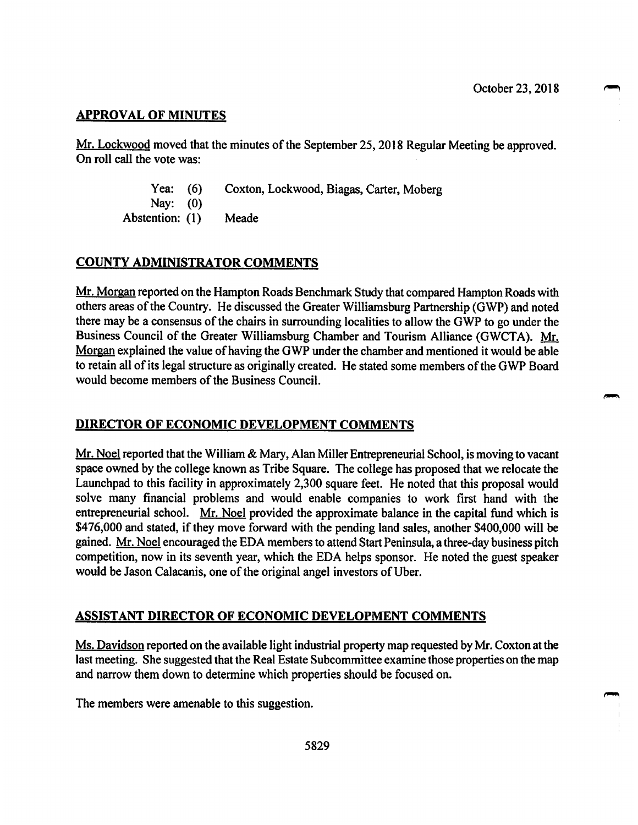## **APPROVAL OF MINUTES**

Mr. Lockwood moved that the minutes of the September 25, 2018 Regular Meeting be approved. On roll call the vote was:

> Yea:  $(6)$ Coxton, Lockwood, Biagas, Carter, Moberg

Nay:  $(0)$ Abstention: (1) Meade

## **COUNTY ADMINISTRATOR COMMENTS**

Mr. Morgan reported on the Hampton Roads Benchmark Study that compared Hampton Roads with others areas of the Country. He discussed the Greater Williamsburg Partnership (GWP) and noted there may be a consensus of the chairs in surrounding localities to allow the GWP to go under the Business Council of the Greater Williamsburg Chamber and Tourism Alliance (GWCTA). Mr. Morgan explained the value of having the GWP under the chamber and mentioned it would be able to retain all of its legal structure as originally created. He stated some members of the GWP Board would become members of the Business Council.

## **DIRECTOR OF ECONOMIC DEVELOPMENT COMMENTS**

Mr. Noel reported that the William & Mary, Alan Miller Entrepreneurial School, is moving to vacant space owned by the college known as Tribe Square. The college has proposed that we relocate the Launchpad to this facility in approximately 2,300 square feet. He noted that this proposal would solve many financial problems and would enable companies to work first hand with the entrepreneurial school. Mr. Noel provided the approximate balance in the capital fund which is \$476,000 and stated, if they move forward with the pending land sales, another \$400,000 will be gained. Mr. Noel encouraged the EDA members to attend Start Peninsula, a three-day business pitch competition, now in its seventh year, which the EDA helps sponsor. He noted the guest speaker would be Jason Calacanis, one of the original angel investors of Uber.

### **ASSISTANT DIRECTOR OF ECONOMIC DEVELOPMENT COMMENTS**

Ms. Davidson reported on the available light industrial property map requested by Mr. Coxton at the last meeting. She suggested that the Real Estate Subcommittee examine those properties on the map and narrow them down to determine which properties should be focused on.

The members were amenable to this suggestion.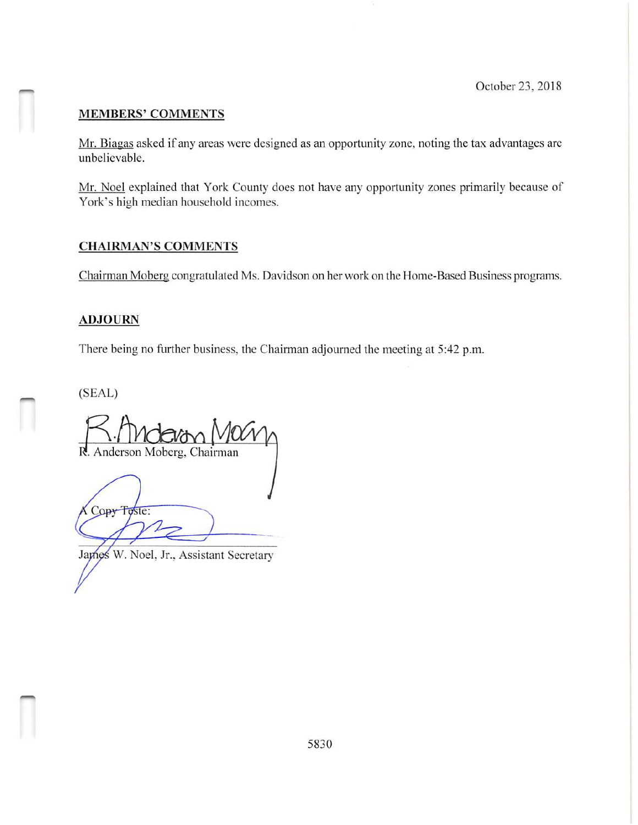## **MEMBERS' COMMENTS**

Mr. Biagas asked if any areas were designed as an opportunity zone, noting the tax advantages are unbelievable.

Mr. Noel explained that York County does not have any opportunity zones primarily because of York's high median household incomes.

### **CHAIRMAN'S COMMENTS**

Chairman Moberg congratulated Ms. Davidson on her work on the Home-Based Business programs.

## **ADJOURN**

There being no further business, the Chairman adjourned the meeting at 5:42 p.m.

 $(SEAL)$ 

Anderson Moberg, Chairman

Copy Toste:

James W. Noel, Jr., Assistant Secretary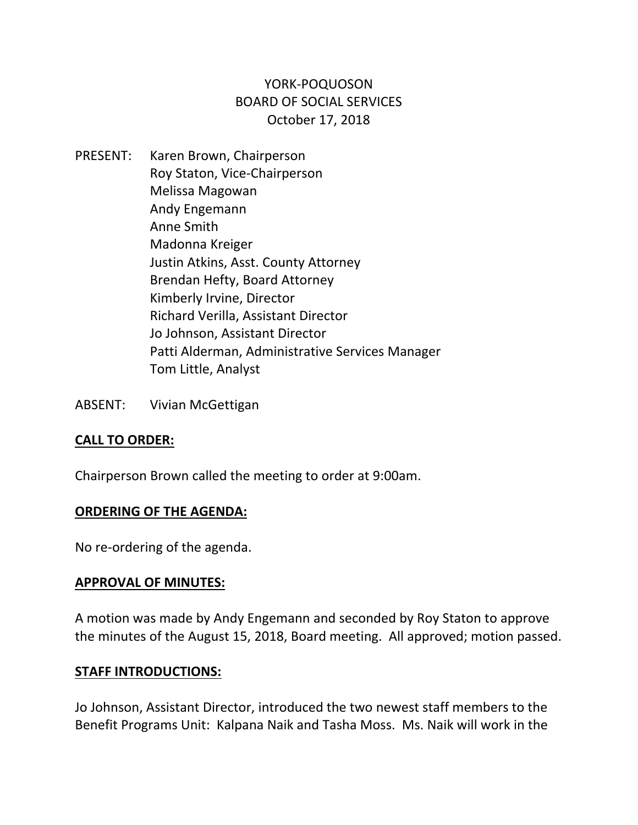# YORK‐POQUOSON BOARD OF SOCIAL SERVICES October 17, 2018

- PRESENT: Karen Brown, Chairperson Roy Staton, Vice‐Chairperson Melissa Magowan Andy Engemann Anne Smith Madonna Kreiger Justin Atkins, Asst. County Attorney Brendan Hefty, Board Attorney Kimberly Irvine, Director Richard Verilla, Assistant Director Jo Johnson, Assistant Director Patti Alderman, Administrative Services Manager Tom Little, Analyst
- ABSENT: Vivian McGettigan

# **CALL TO ORDER:**

Chairperson Brown called the meeting to order at 9:00am.

## **ORDERING OF THE AGENDA:**

No re‐ordering of the agenda.

## **APPROVAL OF MINUTES:**

A motion was made by Andy Engemann and seconded by Roy Staton to approve the minutes of the August 15, 2018, Board meeting. All approved; motion passed.

## **STAFF INTRODUCTIONS:**

Jo Johnson, Assistant Director, introduced the two newest staff members to the Benefit Programs Unit: Kalpana Naik and Tasha Moss. Ms. Naik will work in the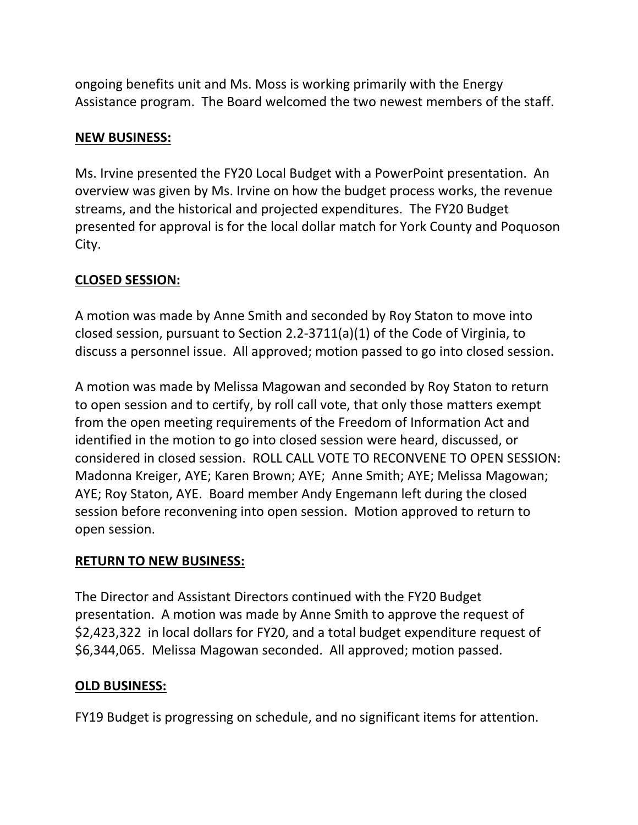ongoing benefits unit and Ms. Moss is working primarily with the Energy Assistance program. The Board welcomed the two newest members of the staff.

# **NEW BUSINESS:**

Ms. Irvine presented the FY20 Local Budget with a PowerPoint presentation. An overview was given by Ms. Irvine on how the budget process works, the revenue streams, and the historical and projected expenditures. The FY20 Budget presented for approval is for the local dollar match for York County and Poquoson City.

# **CLOSED SESSION:**

A motion was made by Anne Smith and seconded by Roy Staton to move into closed session, pursuant to Section 2.2‐3711(a)(1) of the Code of Virginia, to discuss a personnel issue. All approved; motion passed to go into closed session.

A motion was made by Melissa Magowan and seconded by Roy Staton to return to open session and to certify, by roll call vote, that only those matters exempt from the open meeting requirements of the Freedom of Information Act and identified in the motion to go into closed session were heard, discussed, or considered in closed session. ROLL CALL VOTE TO RECONVENE TO OPEN SESSION: Madonna Kreiger, AYE; Karen Brown; AYE; Anne Smith; AYE; Melissa Magowan; AYE; Roy Staton, AYE. Board member Andy Engemann left during the closed session before reconvening into open session. Motion approved to return to open session.

# **RETURN TO NEW BUSINESS:**

The Director and Assistant Directors continued with the FY20 Budget presentation. A motion was made by Anne Smith to approve the request of \$2,423,322 in local dollars for FY20, and a total budget expenditure request of \$6,344,065. Melissa Magowan seconded. All approved; motion passed.

# **OLD BUSINESS:**

FY19 Budget is progressing on schedule, and no significant items for attention.